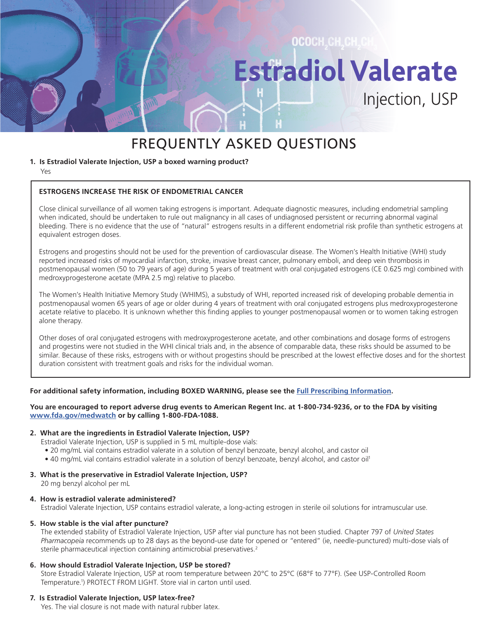## OCOCH, CH, CH, CH **EstradiolValerate** Injection, USP

### FREQUENTLY ASKED QUESTIONS

#### **1. Is Estradiol Valerate Injection, USP a boxed warning product?**

Yes

#### **ESTROGENS INCREASE THE RISK OF ENDOMETRIAL CANCER**

Close clinical surveillance of all women taking estrogens is important. Adequate diagnostic measures, including endometrial sampling when indicated, should be undertaken to rule out malignancy in all cases of undiagnosed persistent or recurring abnormal vaginal bleeding. There is no evidence that the use of "natural" estrogens results in a different endometrial risk profile than synthetic estrogens at equivalent estrogen doses.

Estrogens and progestins should not be used for the prevention of cardiovascular disease. The Women's Health Initiative (WHI) study reported increased risks of myocardial infarction, stroke, invasive breast cancer, pulmonary emboli, and deep vein thrombosis in postmenopausal women (50 to 79 years of age) during 5 years of treatment with oral conjugated estrogens (CE 0.625 mg) combined with medroxyprogesterone acetate (MPA 2.5 mg) relative to placebo.

The Women's Health Initiative Memory Study (WHIMS), a substudy of WHI, reported increased risk of developing probable dementia in postmenopausal women 65 years of age or older during 4 years of treatment with oral conjugated estrogens plus medroxyprogesterone acetate relative to placebo. It is unknown whether this finding applies to younger postmenopausal women or to women taking estrogen alone therapy.

Other doses of oral conjugated estrogens with medroxyprogesterone acetate, and other combinations and dosage forms of estrogens and progestins were not studied in the WHI clinical trials and, in the absence of comparable data, these risks should be assumed to be similar. Because of these risks, estrogens with or without progestins should be prescribed at the lowest effective doses and for the shortest duration consistent with treatment goals and risks for the individual woman.

#### **For additional safety information, including BOXED WARNING, please see the [Full Prescribing Information](https://americanregent.com/media/2929/ref-1453_estradiolvalerate_pi-insert_rev-nov2019_24mar2020.pdf).**

#### **You are encouraged to report adverse drug events to American Regent Inc. at 1-800-734-9236, or to the FDA by visiting [www.fda.gov/medwatch](https://www.fda.gov/safety/medwatch-fda-safety-information-and-adverse-event-reporting-program) or by calling 1-800-FDA-1088.**

#### **2. What are the ingredients in Estradiol Valerate Injection, USP?**

- Estradiol Valerate Injection, USP is supplied in 5 mL multiple-dose vials:
- 20 mg/mL vial contains estradiol valerate in a solution of benzyl benzoate, benzyl alcohol, and castor oil
- 40 mg/mL vial contains estradiol valerate in a solution of benzyl benzoate, benzyl alcohol, and castor oil1

#### **3. What is the preservative in Estradiol Valerate Injection, USP?**

20 mg benzyl alcohol per mL

#### **4. How is estradiol valerate administered?**

Estradiol Valerate Injection, USP contains estradiol valerate, a long-acting estrogen in sterile oil solutions for intramuscular use.

#### **5. How stable is the vial after puncture?**

The extended stability of Estradiol Valerate Injection, USP after vial puncture has not been studied. Chapter 797 of *United States Pharmacopeia* recommends up to 28 days as the beyond-use date for opened or "entered" (ie, needle-punctured) multi-dose vials of sterile pharmaceutical injection containing antimicrobial preservatives.<sup>2</sup>

#### **6. How should Estradiol Valerate Injection, USP be stored?**

Store Estradiol Valerate Injection, USP at room temperature between 20°C to 25°C (68°F to 77°F). (See USP-Controlled Room Temperature.<sup>1</sup>) PROTECT FROM LIGHT. Store vial in carton until used.

#### **7. Is Estradiol Valerate Injection, USP latex-free?**

Yes. The vial closure is not made with natural rubber latex.